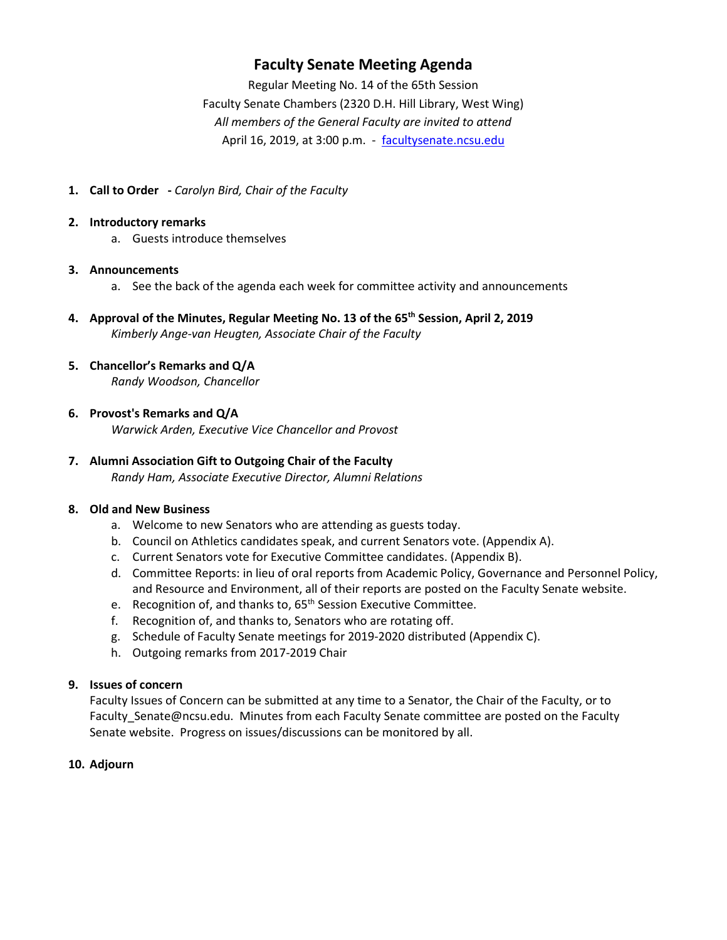## **Faculty Senate Meeting Agenda**

Regular Meeting No. 14 of the 65th Session Faculty Senate Chambers (2320 D.H. Hill Library, West Wing) *All members of the General Faculty are invited to attend* April 16, 2019, at 3:00 p.m. - [facultysenate.ncsu.edu](https://facultysenate.ncsu.edu/)

**1. Call to Order -** *Carolyn Bird, Chair of the Faculty*

#### **2. Introductory remarks**

a. Guests introduce themselves

#### **3. Announcements**

- a. See the back of the agenda each week for committee activity and announcements
- **4. Approval of the Minutes, Regular Meeting No. 13 of the 65th Session, April 2, 2019** *Kimberly Ange-van Heugten, Associate Chair of the Faculty*

#### **5. Chancellor's Remarks and Q/A** *Randy Woodson, Chancellor*

#### **6. Provost's Remarks and Q/A**

*Warwick Arden, Executive Vice Chancellor and Provost*

## **7. Alumni Association Gift to Outgoing Chair of the Faculty**

*Randy Ham, Associate Executive Director, Alumni Relations*

#### **8. Old and New Business**

- a. Welcome to new Senators who are attending as guests today.
- b. Council on Athletics candidates speak, and current Senators vote. (Appendix A).
- c. Current Senators vote for Executive Committee candidates. (Appendix B).
- d. Committee Reports: in lieu of oral reports from Academic Policy, Governance and Personnel Policy, and Resource and Environment, all of their reports are posted on the Faculty Senate website.
- e. Recognition of, and thanks to, 65<sup>th</sup> Session Executive Committee.
- f. Recognition of, and thanks to, Senators who are rotating off.
- g. Schedule of Faculty Senate meetings for 2019-2020 distributed (Appendix C).
- h. Outgoing remarks from 2017-2019 Chair

## **9. Issues of concern**

Faculty Issues of Concern can be submitted at any time to a Senator, the Chair of the Faculty, or to Faculty Senate@ncsu.edu. Minutes from each Faculty Senate committee are posted on the Faculty Senate website. Progress on issues/discussions can be monitored by all.

## **10. Adjourn**